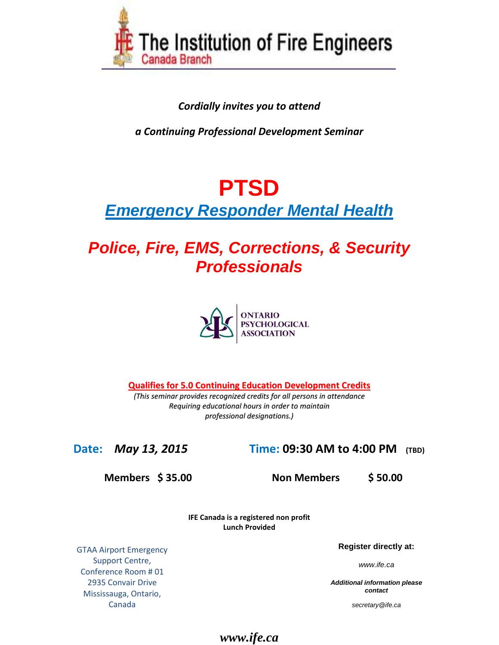

#### *Cordially invites you to attend*

*a Continuing Professional Development Seminar*

# **PTSD**

# *Emergency Responder Mental Health*

# *Police, Fire, EMS, Corrections, & Security Professionals*



**Qualifies for 5.0 Continuing Education Development Credits**

*(This seminar provides recognized credits for all persons in attendance Requiring educational hours in order to maintain professional designations.)*

# **Date:** *May 13, 2015* **Time: 09:30 AM to 4:00 PM (TBD)**

**Members \$ 35.00 Non Members \$ 50.00** 

**IFE Canada is a registered non profit Lunch Provided**

GTAA Airport Emergency Support Centre, Conference Room # 01 2935 Convair Drive Mississauga, Ontario, Canada

**Register directly at:**

*www.ife.ca*

*Additional information please contact*

*secretary@ife.ca*

#### *www.ife.ca*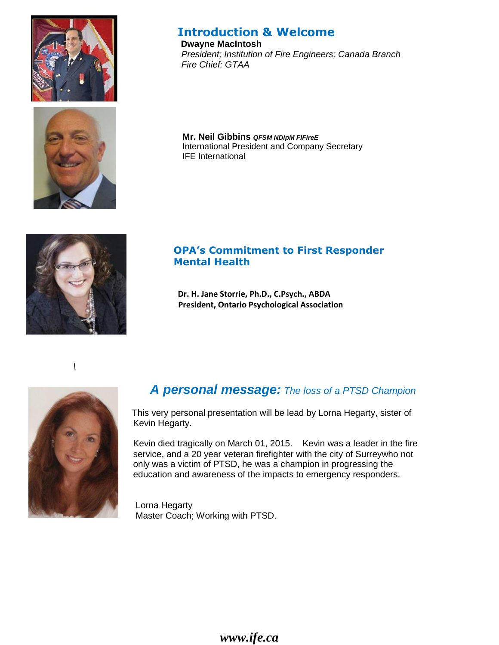



# **Introduction & Welcome**

**Dwayne MacIntosh**  *President; Institution of Fire Engineers; Canada Branch Fire Chief: GTAA*

**Mr. Neil Gibbins** *QFSM NDipM FIFireE* International President and Company Secretary IFE International



#### **OPA's Commitment to First Responder Mental Health**

**Dr. H. Jane Storrie, Ph.D., C.Psych., ABDA President, Ontario Psychological Association**

*\*



# *A personal message: The loss of a PTSD Champion*

This very personal presentation will be lead by Lorna Hegarty, sister of Kevin Hegarty.

 Kevin died tragically on March 01, 2015. Kevin was a leader in the fire service, and a 20 year veteran firefighter with the city of Surreywho not only was a victim of PTSD, he was a champion in progressing the education and awareness of the impacts to emergency responders.

 Lorna Hegarty Master Coach; Working with PTSD.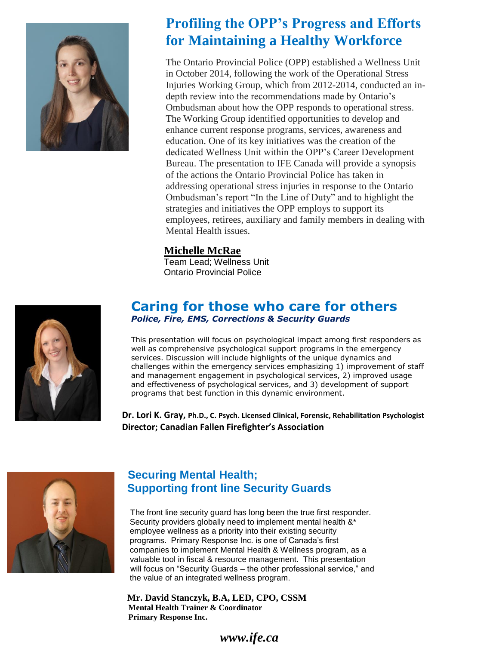

# **Profiling the OPP's Progress and Efforts for Maintaining a Healthy Workforce**

The Ontario Provincial Police (OPP) established a Wellness Unit in October 2014, following the work of the Operational Stress Injuries Working Group, which from 2012-2014, conducted an indepth review into the recommendations made by Ontario's Ombudsman about how the OPP responds to operational stress. The Working Group identified opportunities to develop and enhance current response programs, services, awareness and education. One of its key initiatives was the creation of the dedicated Wellness Unit within the OPP's Career Development Bureau. The presentation to IFE Canada will provide a synopsis of the actions the Ontario Provincial Police has taken in addressing operational stress injuries in response to the Ontario Ombudsman's report "In the Line of Duty" and to highlight the strategies and initiatives the OPP employs to support its employees, retirees, auxiliary and family members in dealing with Mental Health issues.

#### **Michelle McRae**

Team Lead; Wellness Unit Ontario Provincial Police



#### **Caring for those who care for others**  *Police, Fire, EMS, Corrections & Security Guards*

This presentation will focus on psychological impact among first responders as well as comprehensive psychological support programs in the emergency services. Discussion will include highlights of the unique dynamics and challenges within the emergency services emphasizing 1) improvement of staff and management engagement in psychological services, 2) improved usage and effectiveness of psychological services, and 3) development of support programs that best function in this dynamic environment.

 **Dr. Lori K. Gray, Ph.D., C. Psych. Licensed Clinical, Forensic, Rehabilitation Psychologist Director; Canadian Fallen Firefighter's Association**



# **Securing Mental Health; Supporting front line Security Guards**

 The front line security guard has long been the true first responder. Security providers globally need to implement mental health &\* employee wellness as a priority into their existing security programs. Primary Response Inc. is one of Canada's first companies to implement Mental Health & Wellness program, as a valuable tool in fiscal & resource management. This presentation will focus on "Security Guards – the other professional service," and the value of an integrated wellness program.

 **Mr. David Stanczyk, B.A, LED, CPO, CSSM Mental Health Trainer & Coordinator Primary Response Inc.**

*www.ife.ca*